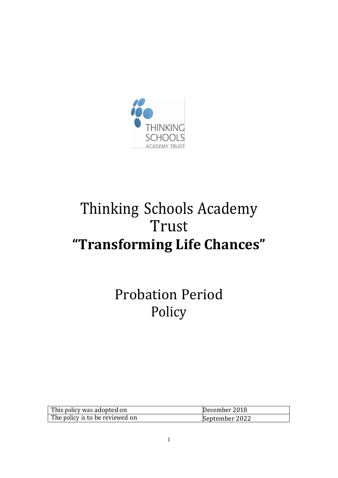

# Thinking Schools Academy Trust **"Transforming Life Chances"**

Probation Period Policy

| $\parallel$ This policy was adopted on | December 2018  |
|----------------------------------------|----------------|
| The policy is to be reviewed on        | September 2022 |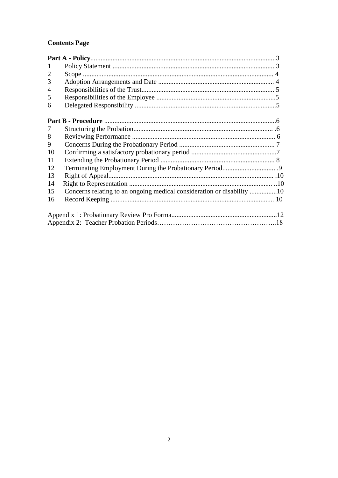# **Contents Page**

| 2  |  |
|----|--|
| 3  |  |
| 4  |  |
| 5  |  |
| 6  |  |
|    |  |
| 7  |  |
| 8  |  |
| 9  |  |
| 10 |  |
| 11 |  |
| 12 |  |
| 13 |  |
| 14 |  |
| 15 |  |
| 16 |  |
|    |  |
|    |  |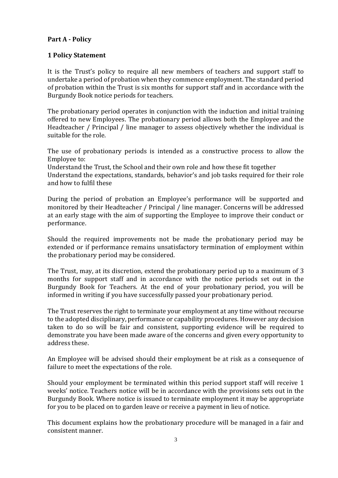#### **Part A - Policy**

#### **1 Policy Statement**

It is the Trust's policy to require all new members of teachers and support staff to undertake a period of probation when they commence employment. The standard period of probation within the Trust is six months for support staff and in accordance with the Burgundy Book notice periods for teachers.

The probationary period operates in conjunction with the induction and initial training offered to new Employees. The probationary period allows both the Employee and the Headteacher / Principal / line manager to assess objectively whether the individual is suitable for the role.

The use of probationary periods is intended as a constructive process to allow the Employee to:

Understand the Trust, the School and their own role and how these fit together

Understand the expectations, standards, behavior's and job tasks required for their role and how to fulfil these

During the period of probation an Employee's performance will be supported and monitored by their Headteacher / Principal / line manager. Concerns will be addressed at an early stage with the aim of supporting the Employee to improve their conduct or performance.

Should the required improvements not be made the probationary period may be extended or if performance remains unsatisfactory termination of employment within the probationary period may be considered.

The Trust, may, at its discretion, extend the probationary period up to a maximum of 3 months for support staff and in accordance with the notice periods set out in the Burgundy Book for Teachers. At the end of your probationary period, you will be informed in writing if you have successfully passed your probationary period.

The Trust reserves the right to terminate your employment at any time without recourse to the adopted disciplinary, performance or capability procedures. However any decision taken to do so will be fair and consistent, supporting evidence will be required to demonstrate you have been made aware of the concerns and given every opportunity to address these.

An Employee will be advised should their employment be at risk as a consequence of failure to meet the expectations of the role.

Should your employment be terminated within this period support staff will receive 1 weeks' notice. Teachers notice will be in accordance with the provisions sets out in the Burgundy Book. Where notice is issued to terminate employment it may be appropriate for you to be placed on to garden leave or receive a payment in lieu of notice.

This document explains how the probationary procedure will be managed in a fair and consistent manner.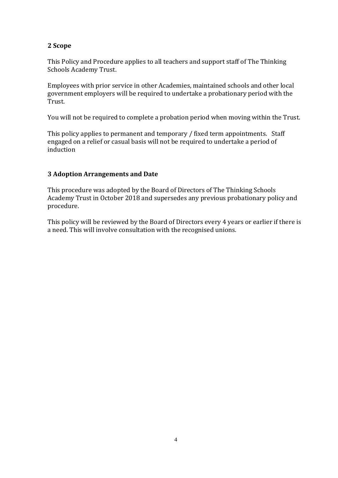# **2 Scope**

This Policy and Procedure applies to all teachers and support staff of The Thinking Schools Academy Trust.

Employees with prior service in other Academies, maintained schools and other local government employers will be required to undertake a probationary period with the Trust.

You will not be required to complete a probation period when moving within the Trust.

This policy applies to permanent and temporary / fixed term appointments. Staff engaged on a relief or casual basis will not be required to undertake a period of induction

#### **3 Adoption Arrangements and Date**

This procedure was adopted by the Board of Directors of The Thinking Schools Academy Trust in October 2018 and supersedes any previous probationary policy and procedure.

This policy will be reviewed by the Board of Directors every 4 years or earlier if there is a need. This will involve consultation with the recognised unions.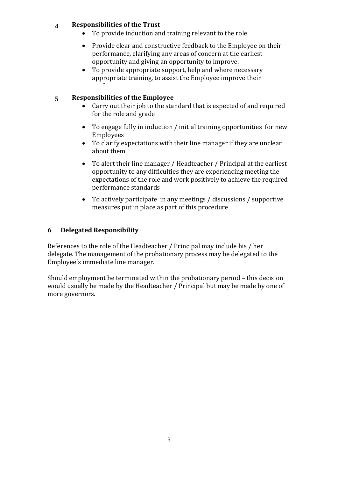# **4 Responsibilities of the Trust**

- To provide induction and training relevant to the role
- Provide clear and constructive feedback to the Employee on their performance, clarifying any areas of concern at the earliest opportunity and giving an opportunity to improve.
- To provide appropriate support, help and where necessary appropriate training, to assist the Employee improve their

# **5 Responsibilities of the Employee**

performance

- Carry out their job to the standard that is expected of and required for the role and grade
- To engage fully in induction / initial training opportunities for new Employees
- To clarify expectations with their line manager if they are unclear about them
- To alert their line manager / Headteacher / Principal at the earliest opportunity to any difficulties they are experiencing meeting the expectations of the role and work positively to achieve the required performance standards
- To actively participate in any meetings / discussions / supportive measures put in place as part of this procedure

# **6 Delegated Responsibility**

References to the role of the Headteacher / Principal may include his / her delegate. The management of the probationary process may be delegated to the Employee's immediate line manager.

Should employment be terminated within the probationary period – this decision would usually be made by the Headteacher / Principal but may be made by one of more governors.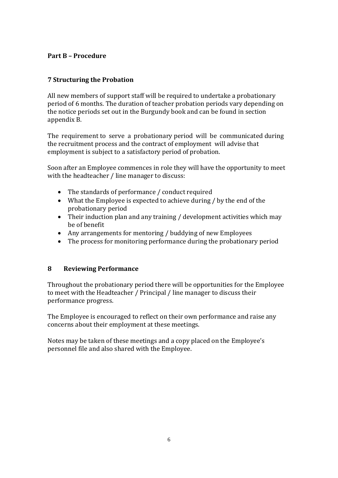# **Part B – Procedure**

# **7 Structuring the Probation**

All new members of support staff will be required to undertake a probationary period of 6 months. The duration of teacher probation periods vary depending on the notice periods set out in the Burgundy book and can be found in section appendix B.

The requirement to serve a probationary period will be communicated during the recruitment process and the contract of employment will advise that employment is subject to a satisfactory period of probation.

Soon after an Employee commences in role they will have the opportunity to meet with the headteacher / line manager to discuss:

- The standards of performance / conduct required
- What the Employee is expected to achieve during / by the end of the probationary period
- Their induction plan and any training / development activities which may be of benefit
- Any arrangements for mentoring / buddying of new Employees
- The process for monitoring performance during the probationary period

#### **8 Reviewing Performance**

Throughout the probationary period there will be opportunities for the Employee to meet with the Headteacher / Principal / line manager to discuss their performance progress.

The Employee is encouraged to reflect on their own performance and raise any concerns about their employment at these meetings.

Notes may be taken of these meetings and a copy placed on the Employee's personnel file and also shared with the Employee.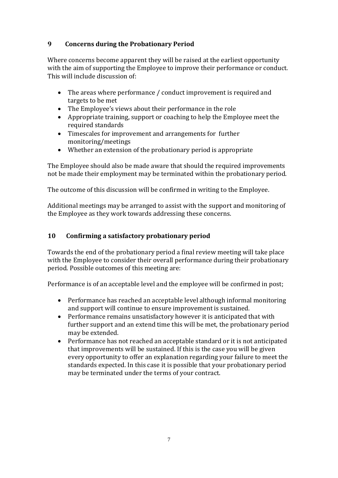# **9 Concerns during the Probationary Period**

Where concerns become apparent they will be raised at the earliest opportunity with the aim of supporting the Employee to improve their performance or conduct. This will include discussion of:

- The areas where performance / conduct improvement is required and targets to be met
- The Employee's views about their performance in the role
- Appropriate training, support or coaching to help the Employee meet the required standards
- Timescales for improvement and arrangements for further monitoring/meetings
- Whether an extension of the probationary period is appropriate

The Employee should also be made aware that should the required improvements not be made their employment may be terminated within the probationary period.

The outcome of this discussion will be confirmed in writing to the Employee.

Additional meetings may be arranged to assist with the support and monitoring of the Employee as they work towards addressing these concerns.

# **10 Confirming a satisfactory probationary period**

Towards the end of the probationary period a final review meeting will take place with the Employee to consider their overall performance during their probationary period. Possible outcomes of this meeting are:

Performance is of an acceptable level and the employee will be confirmed in post;

- Performance has reached an acceptable level although informal monitoring and support will continue to ensure improvement is sustained.
- Performance remains unsatisfactory however it is anticipated that with further support and an extend time this will be met, the probationary period may be extended.
- Performance has not reached an acceptable standard or it is not anticipated that improvements will be sustained. If this is the case you will be given every opportunity to offer an explanation regarding your failure to meet the standards expected. In this case it is possible that your probationary period may be terminated under the terms of your contract.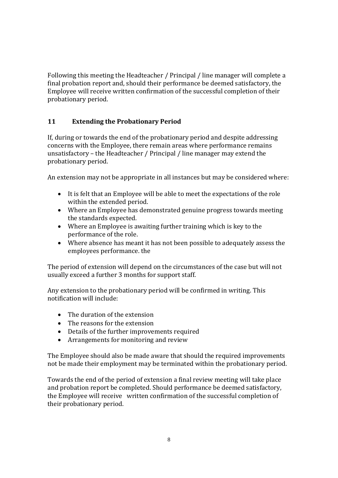Following this meeting the Headteacher / Principal / line manager will complete a final probation report and, should their performance be deemed satisfactory, the Employee will receive written confirmation of the successful completion of their probationary period.

# **11 Extending the Probationary Period**

If, during or towards the end of the probationary period and despite addressing concerns with the Employee, there remain areas where performance remains unsatisfactory – the Headteacher / Principal / line manager may extend the probationary period.

An extension may not be appropriate in all instances but may be considered where:

- It is felt that an Employee will be able to meet the expectations of the role within the extended period.
- Where an Employee has demonstrated genuine progress towards meeting the standards expected.
- Where an Employee is awaiting further training which is key to the performance of the role.
- Where absence has meant it has not been possible to adequately assess the employees performance. the

The period of extension will depend on the circumstances of the case but will not usually exceed a further 3 months for support staff.

Any extension to the probationary period will be confirmed in writing. This notification will include:

- The duration of the extension
- The reasons for the extension
- Details of the further improvements required
- Arrangements for monitoring and review

The Employee should also be made aware that should the required improvements not be made their employment may be terminated within the probationary period.

Towards the end of the period of extension a final review meeting will take place and probation report be completed. Should performance be deemed satisfactory, the Employee will receive written confirmation of the successful completion of their probationary period.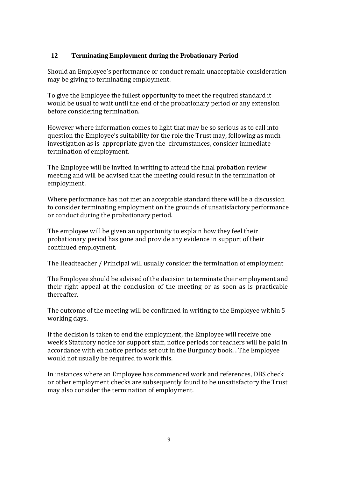### **12 Terminating Employment during the Probationary Period**

Should an Employee's performance or conduct remain unacceptable consideration may be giving to terminating employment.

To give the Employee the fullest opportunity to meet the required standard it would be usual to wait until the end of the probationary period or any extension before considering termination.

However where information comes to light that may be so serious as to call into question the Employee's suitability for the role the Trust may, following as much investigation as is appropriate given the circumstances, consider immediate termination of employment.

The Employee will be invited in writing to attend the final probation review meeting and will be advised that the meeting could result in the termination of employment.

Where performance has not met an acceptable standard there will be a discussion to consider terminating employment on the grounds of unsatisfactory performance or conduct during the probationary period.

The employee will be given an opportunity to explain how they feel their probationary period has gone and provide any evidence in support of their continued employment.

The Headteacher / Principal will usually consider the termination of employment

The Employee should be advised of the decision to terminate their employment and their right appeal at the conclusion of the meeting or as soon as is practicable thereafter.

The outcome of the meeting will be confirmed in writing to the Employee within 5 working days.

If the decision is taken to end the employment, the Employee will receive one week's Statutory notice for support staff, notice periods for teachers will be paid in accordance with eh notice periods set out in the Burgundy book. . The Employee would not usually be required to work this.

In instances where an Employee has commenced work and references, DBS check or other employment checks are subsequently found to be unsatisfactory the Trust may also consider the termination of employment.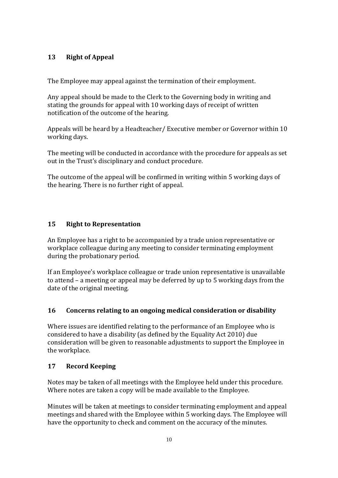# **13 Right of Appeal**

The Employee may appeal against the termination of their employment.

Any appeal should be made to the Clerk to the Governing body in writing and stating the grounds for appeal with 10 working days of receipt of written notification of the outcome of the hearing.

Appeals will be heard by a Headteacher/ Executive member or Governor within 10 working days.

The meeting will be conducted in accordance with the procedure for appeals as set out in the Trust's disciplinary and conduct procedure.

The outcome of the appeal will be confirmed in writing within 5 working days of the hearing. There is no further right of appeal.

## **15 Right to Representation**

An Employee has a right to be accompanied by a trade union representative or workplace colleague during any meeting to consider terminating employment during the probationary period.

If an Employee's workplace colleague or trade union representative is unavailable to attend – a meeting or appeal may be deferred by up to 5 working days from the date of the original meeting.

#### **16 Concerns relating to an ongoing medical consideration or disability**

Where issues are identified relating to the performance of an Employee who is considered to have a disability (as defined by the Equality Act 2010) due consideration will be given to reasonable adjustments to support the Employee in the workplace.

#### **17 Record Keeping**

Notes may be taken of all meetings with the Employee held under this procedure. Where notes are taken a copy will be made available to the Employee.

Minutes will be taken at meetings to consider terminating employment and appeal meetings and shared with the Employee within 5 working days. The Employee will have the opportunity to check and comment on the accuracy of the minutes.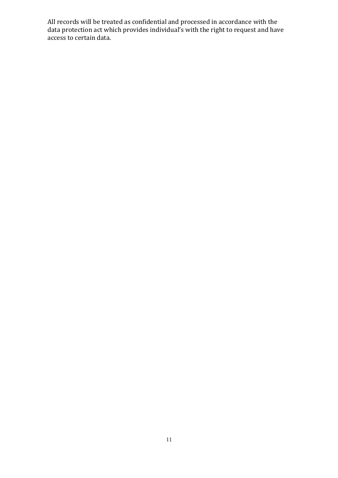All records will be treated as confidential and processed in accordance with the data protection act which provides individual's with the right to request and have access to certain data.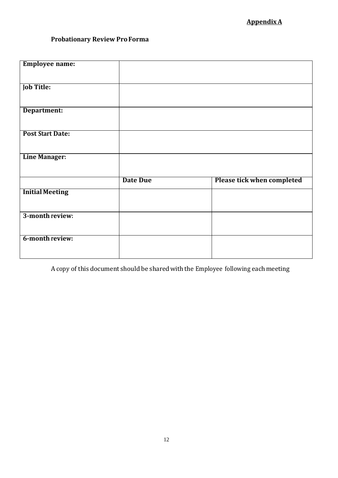# **AppendixA**

# **Probationary Review ProForma**

| <b>Employee name:</b>   |                 |                                   |
|-------------------------|-----------------|-----------------------------------|
|                         |                 |                                   |
| <b>Job Title:</b>       |                 |                                   |
| Department:             |                 |                                   |
| <b>Post Start Date:</b> |                 |                                   |
| <b>Line Manager:</b>    |                 |                                   |
|                         | <b>Date Due</b> | <b>Please tick when completed</b> |
| <b>Initial Meeting</b>  |                 |                                   |
| 3-month review:         |                 |                                   |
| 6-month review:         |                 |                                   |

A copy of this document should be sharedwiththe Employee following eachmeeting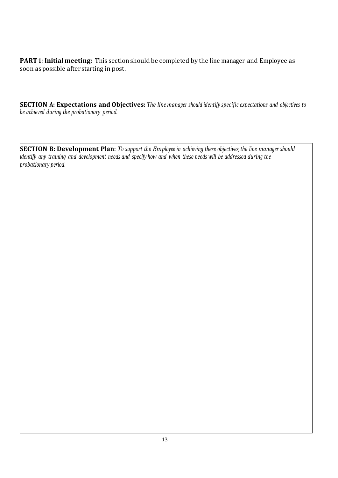**PART 1: Initial meeting:** This section should be completed by the line manager and Employee as soon as possible after starting in post.

**SECTION A: Expectations and Objectives:** *The line manager should identify specific expectations and objectives to be achieved during the probationary period.*

**SECTION B: Development Plan:** *To support the Employee in achieving these objectives,the line manager should*  identify any training and development needs and specify how and when these needs will be addressed during the *probationary period*.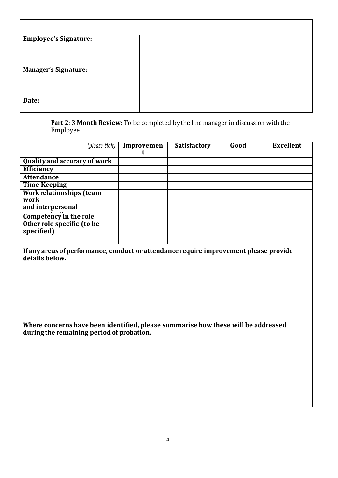| <b>Employee's Signature:</b> |  |
|------------------------------|--|
|                              |  |
|                              |  |
| <b>Manager's Signature:</b>  |  |
|                              |  |
|                              |  |
| Date:                        |  |
|                              |  |

**Part 2: 3 Month Review:** To be completed by the line manager in discussion withthe Employee

| (please tick)                                                                                                                  | Improvemen | <b>Satisfactory</b> | Good | <b>Excellent</b> |
|--------------------------------------------------------------------------------------------------------------------------------|------------|---------------------|------|------------------|
|                                                                                                                                | t          |                     |      |                  |
| <b>Quality and accuracy of work</b>                                                                                            |            |                     |      |                  |
| Efficiency                                                                                                                     |            |                     |      |                  |
| <b>Attendance</b>                                                                                                              |            |                     |      |                  |
| <b>Time Keeping</b>                                                                                                            |            |                     |      |                  |
| Work relationships (team                                                                                                       |            |                     |      |                  |
| work                                                                                                                           |            |                     |      |                  |
| and interpersonal                                                                                                              |            |                     |      |                  |
| Competency in the role                                                                                                         |            |                     |      |                  |
| Other role specific (to be                                                                                                     |            |                     |      |                  |
| specified)                                                                                                                     |            |                     |      |                  |
|                                                                                                                                |            |                     |      |                  |
| If any areas of performance, conduct or attendance require improvement please provide<br>details below.                        |            |                     |      |                  |
| Where concerns have been identified, please summarise how these will be addressed<br>during the remaining period of probation. |            |                     |      |                  |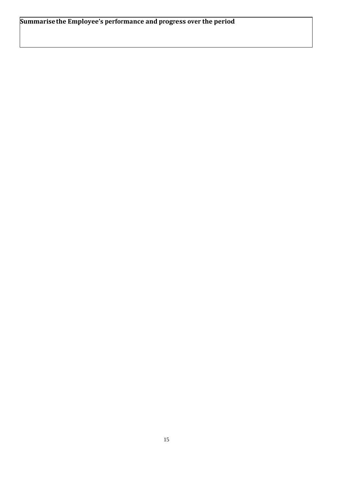**Summarisethe Employee's performance and progress over the period**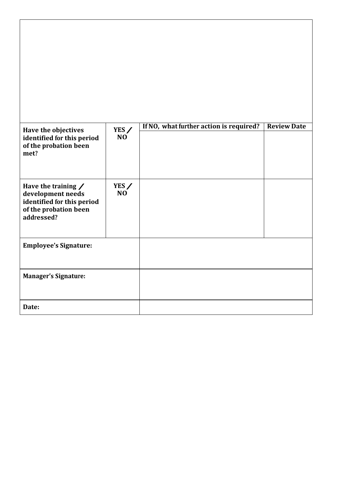| Have the objectives<br>identified for this period<br>of the probation been<br>met?                                   | YES /<br>N <sub>O</sub> | If NO, what further action is required? | <b>Review Date</b> |
|----------------------------------------------------------------------------------------------------------------------|-------------------------|-----------------------------------------|--------------------|
| Have the training $\angle$<br>development needs<br>identified for this period<br>of the probation been<br>addressed? | YES /<br>N <sub>O</sub> |                                         |                    |
| <b>Employee's Signature:</b>                                                                                         |                         |                                         |                    |
| <b>Manager's Signature:</b>                                                                                          |                         |                                         |                    |
| Date:                                                                                                                |                         |                                         |                    |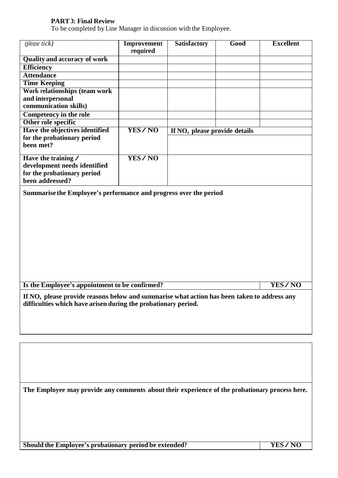#### **PART 3: Final Review**

To be completed by Line Manager in discussion with the Employee.

| (please tick)                                                                                                                                                 | <b>Improvement</b> | <b>Satisfactory</b>           | Good | <b>Excellent</b> |
|---------------------------------------------------------------------------------------------------------------------------------------------------------------|--------------------|-------------------------------|------|------------------|
|                                                                                                                                                               | required           |                               |      |                  |
| <b>Quality and accuracy of work</b>                                                                                                                           |                    |                               |      |                  |
| <b>Efficiency</b>                                                                                                                                             |                    |                               |      |                  |
| <b>Attendance</b>                                                                                                                                             |                    |                               |      |                  |
| <b>Time Keeping</b>                                                                                                                                           |                    |                               |      |                  |
| Work relationships (team work                                                                                                                                 |                    |                               |      |                  |
| and interpersonal                                                                                                                                             |                    |                               |      |                  |
| communication skills)                                                                                                                                         |                    |                               |      |                  |
| <b>Competency in the role</b>                                                                                                                                 |                    |                               |      |                  |
| Other role specific                                                                                                                                           |                    |                               |      |                  |
| Have the objectives identified                                                                                                                                | <b>YES/NO</b>      | If NO, please provide details |      |                  |
| for the probationary period                                                                                                                                   |                    |                               |      |                  |
| been met?                                                                                                                                                     |                    |                               |      |                  |
| Have the training /                                                                                                                                           | YES/NO             |                               |      |                  |
| development needs identified                                                                                                                                  |                    |                               |      |                  |
| for the probationary period                                                                                                                                   |                    |                               |      |                  |
| been addressed?                                                                                                                                               |                    |                               |      |                  |
|                                                                                                                                                               |                    |                               |      |                  |
| Summarise the Employee's performance and progress over the period                                                                                             |                    |                               |      |                  |
|                                                                                                                                                               |                    |                               |      |                  |
|                                                                                                                                                               |                    |                               |      |                  |
|                                                                                                                                                               |                    |                               |      |                  |
|                                                                                                                                                               |                    |                               |      |                  |
|                                                                                                                                                               |                    |                               |      |                  |
|                                                                                                                                                               |                    |                               |      |                  |
|                                                                                                                                                               |                    |                               |      |                  |
|                                                                                                                                                               |                    |                               |      |                  |
|                                                                                                                                                               |                    |                               |      |                  |
|                                                                                                                                                               |                    |                               |      |                  |
| Is the Employee's appointment to be confirmed?<br><b>YES/NO</b>                                                                                               |                    |                               |      |                  |
|                                                                                                                                                               |                    |                               |      |                  |
| If NO, please provide reasons below and summarise what action has been taken to address any<br>difficulties which have arisen during the probationary period. |                    |                               |      |                  |

**The Employee may provide any comments about their experience of the probationary process here.**

**Should the Employee's probationary period be extended? YES / NO**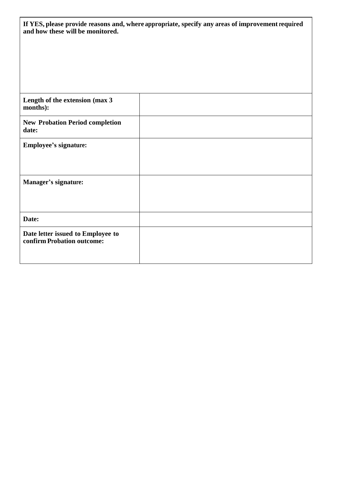| If YES, please provide reasons and, where appropriate, specify any areas of improvement required<br>and how these will be monitored. |  |  |
|--------------------------------------------------------------------------------------------------------------------------------------|--|--|
|                                                                                                                                      |  |  |
|                                                                                                                                      |  |  |
| Length of the extension (max 3<br>months):                                                                                           |  |  |
| <b>New Probation Period completion</b><br>date:                                                                                      |  |  |
| <b>Employee's signature:</b>                                                                                                         |  |  |
|                                                                                                                                      |  |  |
| <b>Manager's signature:</b>                                                                                                          |  |  |
|                                                                                                                                      |  |  |
| Date:                                                                                                                                |  |  |
| Date letter issued to Employee to<br>confirm Probation outcome:                                                                      |  |  |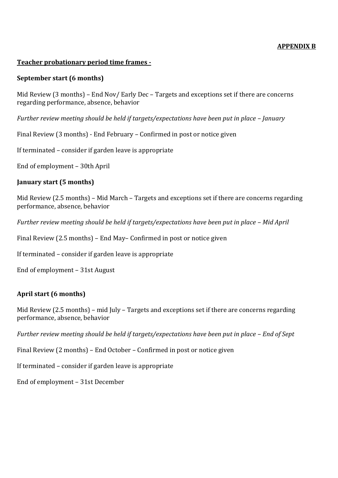#### **APPENDIX B**

#### **Teacher probationary period time frames -**

#### **September start (6 months)**

Mid Review (3 months) – End Nov/ Early Dec – Targets and exceptions set if there are concerns regarding performance, absence, behavior

*Further review meeting should be held if targets/expectations have been put in place – January* 

Final Review (3 months) - End February – Confirmed in post or notice given

If terminated – consider if garden leave is appropriate

End of employment – 30th April

#### **January start (5 months)**

Mid Review (2.5 months) – Mid March – Targets and exceptions set if there are concerns regarding performance, absence, behavior

*Further review meeting should be held if targets/expectations have been put in place - Mid April* 

Final Review (2.5 months) – End May– Confirmed in post or notice given

If terminated – consider if garden leave is appropriate

End of employment – 31st August

#### **April start (6 months)**

Mid Review (2.5 months) – mid July – Targets and exceptions set if there are concerns regarding performance, absence, behavior

*Further review meeting should be held if targets/expectations have been put in place – End of Sept*

Final Review (2 months) – End October – Confirmed in post or notice given

If terminated – consider if garden leave is appropriate

End of employment – 31st December